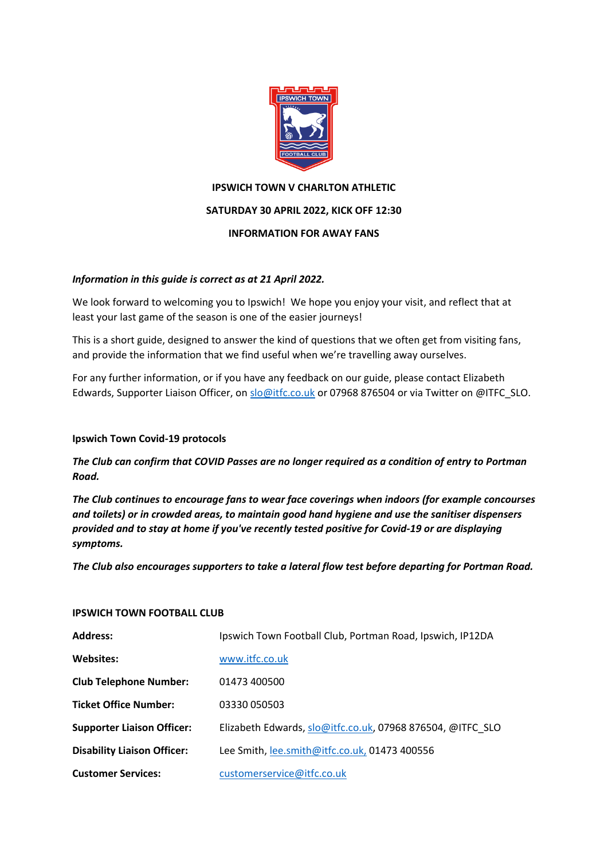

# **IPSWICH TOWN V CHARLTON ATHLETIC**

# **SATURDAY 30 APRIL 2022, KICK OFF 12:30**

# **INFORMATION FOR AWAY FANS**

# *Information in this guide is correct as at 21 April 2022.*

We look forward to welcoming you to Ipswich! We hope you enjoy your visit, and reflect that at least your last game of the season is one of the easier journeys!

This is a short guide, designed to answer the kind of questions that we often get from visiting fans, and provide the information that we find useful when we're travelling away ourselves.

For any further information, or if you have any feedback on our guide, please contact Elizabeth Edwards, Supporter Liaison Officer, on [slo@itfc.co.uk](mailto:slo@itfc.co.uk) or 07968 876504 or via Twitter on @ITFC\_SLO.

# **Ipswich Town Covid-19 protocols**

*The Club can confirm that COVID Passes are no longer required as a condition of entry to Portman Road.*

*The Club continues to encourage fans to wear face coverings when indoors (for example concourses and toilets) or in crowded areas, to maintain good hand hygiene and use the sanitiser dispensers provided and to stay at home if you've recently tested positive for Covid-19 or are displaying symptoms.*

*The Club also encourages supporters to take a lateral flow test before departing for Portman Road.*

# **IPSWICH TOWN FOOTBALL CLUB**

| <b>Address:</b>                    | Ipswich Town Football Club, Portman Road, Ipswich, IP12DA  |
|------------------------------------|------------------------------------------------------------|
| <b>Websites:</b>                   | www.itfc.co.uk                                             |
| <b>Club Telephone Number:</b>      | 01473 400500                                               |
| <b>Ticket Office Number:</b>       | 03330 050503                                               |
| <b>Supporter Liaison Officer:</b>  | Elizabeth Edwards, slo@itfc.co.uk, 07968 876504, @ITFC SLO |
| <b>Disability Liaison Officer:</b> | Lee Smith, lee.smith@itfc.co.uk, 01473 400556              |
| <b>Customer Services:</b>          | customerservice@itfc.co.uk                                 |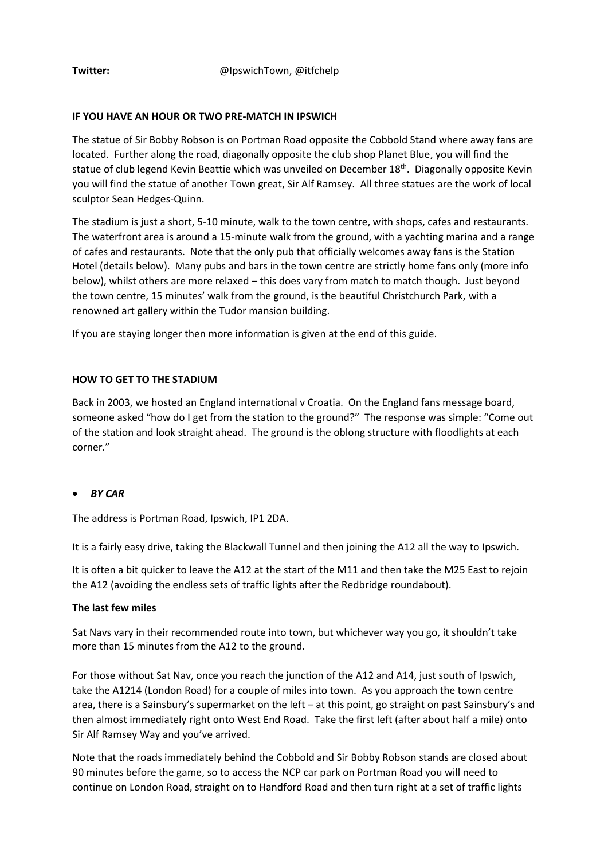#### **IF YOU HAVE AN HOUR OR TWO PRE-MATCH IN IPSWICH**

The statue of Sir Bobby Robson is on Portman Road opposite the Cobbold Stand where away fans are located. Further along the road, diagonally opposite the club shop Planet Blue, you will find the statue of club legend Kevin Beattie which was unveiled on December 18<sup>th</sup>. Diagonally opposite Kevin you will find the statue of another Town great, Sir Alf Ramsey. All three statues are the work of local sculptor Sean Hedges-Quinn.

The stadium is just a short, 5-10 minute, walk to the town centre, with shops, cafes and restaurants. The waterfront area is around a 15-minute walk from the ground, with a yachting marina and a range of cafes and restaurants. Note that the only pub that officially welcomes away fans is the Station Hotel (details below). Many pubs and bars in the town centre are strictly home fans only (more info below), whilst others are more relaxed – this does vary from match to match though. Just beyond the town centre, 15 minutes' walk from the ground, is the beautiful Christchurch Park, with a renowned art gallery within the Tudor mansion building.

If you are staying longer then more information is given at the end of this guide.

### **HOW TO GET TO THE STADIUM**

Back in 2003, we hosted an England international v Croatia. On the England fans message board, someone asked "how do I get from the station to the ground?" The response was simple: "Come out of the station and look straight ahead. The ground is the oblong structure with floodlights at each corner."

#### • *BY CAR*

The address is Portman Road, Ipswich, IP1 2DA.

It is a fairly easy drive, taking the Blackwall Tunnel and then joining the A12 all the way to Ipswich.

It is often a bit quicker to leave the A12 at the start of the M11 and then take the M25 East to rejoin the A12 (avoiding the endless sets of traffic lights after the Redbridge roundabout).

#### **The last few miles**

Sat Navs vary in their recommended route into town, but whichever way you go, it shouldn't take more than 15 minutes from the A12 to the ground.

For those without Sat Nav, once you reach the junction of the A12 and A14, just south of Ipswich, take the A1214 (London Road) for a couple of miles into town. As you approach the town centre area, there is a Sainsbury's supermarket on the left – at this point, go straight on past Sainsbury's and then almost immediately right onto West End Road. Take the first left (after about half a mile) onto Sir Alf Ramsey Way and you've arrived.

Note that the roads immediately behind the Cobbold and Sir Bobby Robson stands are closed about 90 minutes before the game, so to access the NCP car park on Portman Road you will need to continue on London Road, straight on to Handford Road and then turn right at a set of traffic lights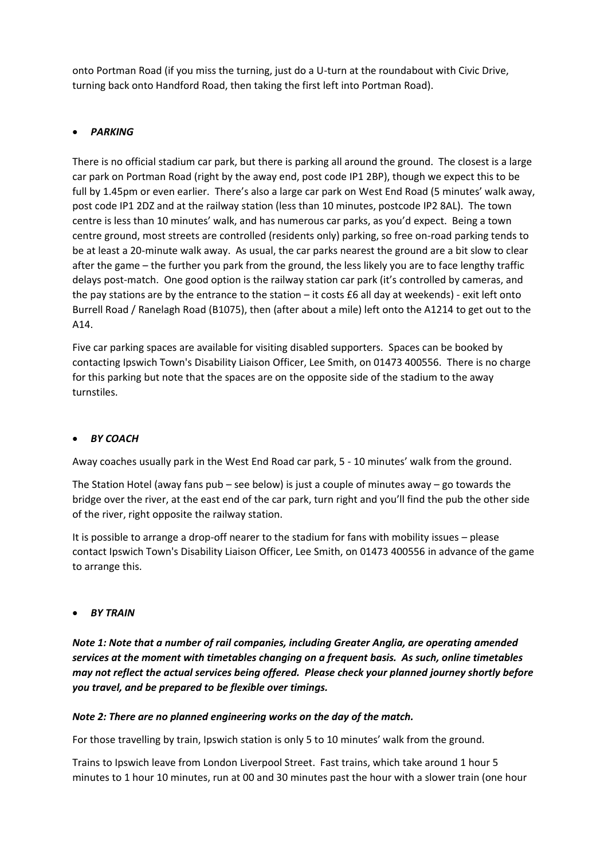onto Portman Road (if you miss the turning, just do a U-turn at the roundabout with Civic Drive, turning back onto Handford Road, then taking the first left into Portman Road).

# • *PARKING*

There is no official stadium car park, but there is parking all around the ground. The closest is a large car park on Portman Road (right by the away end, post code IP1 2BP), though we expect this to be full by 1.45pm or even earlier. There's also a large car park on West End Road (5 minutes' walk away, post code IP1 2DZ and at the railway station (less than 10 minutes, postcode IP2 8AL). The town centre is less than 10 minutes' walk, and has numerous car parks, as you'd expect. Being a town centre ground, most streets are controlled (residents only) parking, so free on-road parking tends to be at least a 20-minute walk away. As usual, the car parks nearest the ground are a bit slow to clear after the game – the further you park from the ground, the less likely you are to face lengthy traffic delays post-match. One good option is the railway station car park (it's controlled by cameras, and the pay stations are by the entrance to the station – it costs £6 all day at weekends) - exit left onto Burrell Road / Ranelagh Road (B1075), then (after about a mile) left onto the A1214 to get out to the A14.

Five car parking spaces are available for visiting disabled supporters. Spaces can be booked by contacting Ipswich Town's Disability Liaison Officer, Lee Smith, on 01473 400556. There is no charge for this parking but note that the spaces are on the opposite side of the stadium to the away turnstiles.

# • *BY COACH*

Away coaches usually park in the West End Road car park, 5 - 10 minutes' walk from the ground.

The Station Hotel (away fans pub – see below) is just a couple of minutes away – go towards the bridge over the river, at the east end of the car park, turn right and you'll find the pub the other side of the river, right opposite the railway station.

It is possible to arrange a drop-off nearer to the stadium for fans with mobility issues – please contact Ipswich Town's Disability Liaison Officer, Lee Smith, on 01473 400556 in advance of the game to arrange this.

• *BY TRAIN*

*Note 1: Note that a number of rail companies, including Greater Anglia, are operating amended services at the moment with timetables changing on a frequent basis. As such, online timetables may not reflect the actual services being offered. Please check your planned journey shortly before you travel, and be prepared to be flexible over timings.* 

# *Note 2: There are no planned engineering works on the day of the match.*

For those travelling by train, Ipswich station is only 5 to 10 minutes' walk from the ground.

Trains to Ipswich leave from London Liverpool Street. Fast trains, which take around 1 hour 5 minutes to 1 hour 10 minutes, run at 00 and 30 minutes past the hour with a slower train (one hour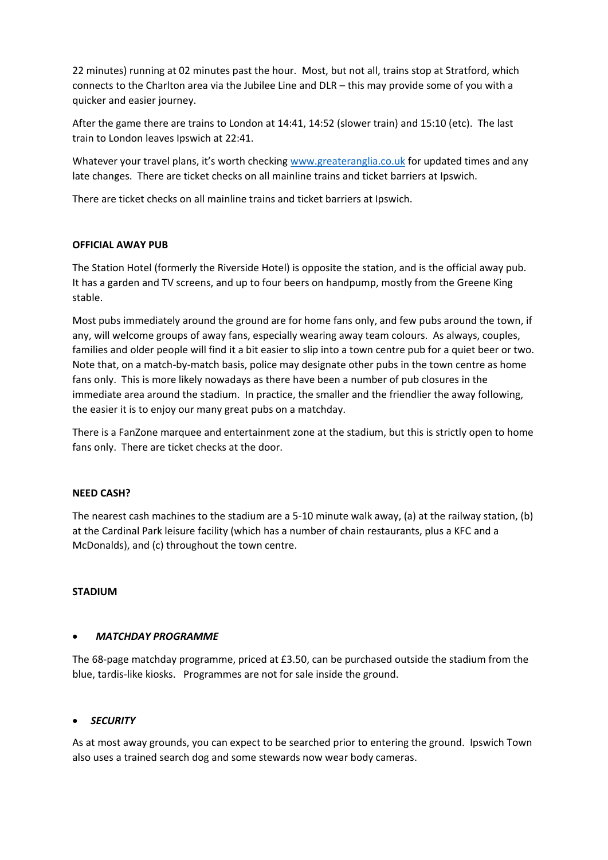22 minutes) running at 02 minutes past the hour. Most, but not all, trains stop at Stratford, which connects to the Charlton area via the Jubilee Line and DLR – this may provide some of you with a quicker and easier journey.

After the game there are trains to London at 14:41, 14:52 (slower train) and 15:10 (etc). The last train to London leaves Ipswich at 22:41.

Whatever your travel plans, it's worth checking [www.greateranglia.co.uk](http://www.greateranglia.co.uk/) for updated times and any late changes. There are ticket checks on all mainline trains and ticket barriers at Ipswich.

There are ticket checks on all mainline trains and ticket barriers at Ipswich.

### **OFFICIAL AWAY PUB**

The Station Hotel (formerly the Riverside Hotel) is opposite the station, and is the official away pub. It has a garden and TV screens, and up to four beers on handpump, mostly from the Greene King stable.

Most pubs immediately around the ground are for home fans only, and few pubs around the town, if any, will welcome groups of away fans, especially wearing away team colours. As always, couples, families and older people will find it a bit easier to slip into a town centre pub for a quiet beer or two. Note that, on a match-by-match basis, police may designate other pubs in the town centre as home fans only. This is more likely nowadays as there have been a number of pub closures in the immediate area around the stadium. In practice, the smaller and the friendlier the away following, the easier it is to enjoy our many great pubs on a matchday.

There is a FanZone marquee and entertainment zone at the stadium, but this is strictly open to home fans only. There are ticket checks at the door.

#### **NEED CASH?**

The nearest cash machines to the stadium are a 5-10 minute walk away, (a) at the railway station, (b) at the Cardinal Park leisure facility (which has a number of chain restaurants, plus a KFC and a McDonalds), and (c) throughout the town centre.

#### **STADIUM**

#### • *MATCHDAY PROGRAMME*

The 68-page matchday programme, priced at £3.50, can be purchased outside the stadium from the blue, tardis-like kiosks. Programmes are not for sale inside the ground.

#### • *SECURITY*

As at most away grounds, you can expect to be searched prior to entering the ground. Ipswich Town also uses a trained search dog and some stewards now wear body cameras.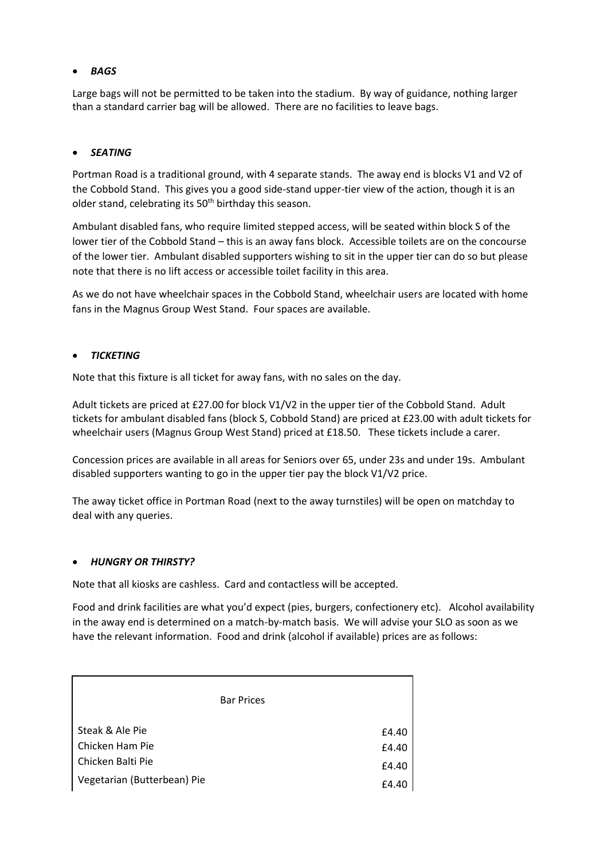# • *BAGS*

Large bags will not be permitted to be taken into the stadium. By way of guidance, nothing larger than a standard carrier bag will be allowed. There are no facilities to leave bags.

### • *SEATING*

Portman Road is a traditional ground, with 4 separate stands. The away end is blocks V1 and V2 of the Cobbold Stand. This gives you a good side-stand upper-tier view of the action, though it is an older stand, celebrating its  $50<sup>th</sup>$  birthday this season.

Ambulant disabled fans, who require limited stepped access, will be seated within block S of the lower tier of the Cobbold Stand – this is an away fans block. Accessible toilets are on the concourse of the lower tier. Ambulant disabled supporters wishing to sit in the upper tier can do so but please note that there is no lift access or accessible toilet facility in this area.

As we do not have wheelchair spaces in the Cobbold Stand, wheelchair users are located with home fans in the Magnus Group West Stand. Four spaces are available.

#### • *TICKETING*

Note that this fixture is all ticket for away fans, with no sales on the day.

Adult tickets are priced at £27.00 for block V1/V2 in the upper tier of the Cobbold Stand. Adult tickets for ambulant disabled fans (block S, Cobbold Stand) are priced at £23.00 with adult tickets for wheelchair users (Magnus Group West Stand) priced at £18.50. These tickets include a carer.

Concession prices are available in all areas for Seniors over 65, under 23s and under 19s. Ambulant disabled supporters wanting to go in the upper tier pay the block V1/V2 price.

The away ticket office in Portman Road (next to the away turnstiles) will be open on matchday to deal with any queries.

#### • *HUNGRY OR THIRSTY?*

Note that all kiosks are cashless. Card and contactless will be accepted.

Food and drink facilities are what you'd expect (pies, burgers, confectionery etc). Alcohol availability in the away end is determined on a match-by-match basis. We will advise your SLO as soon as we have the relevant information. Food and drink (alcohol if available) prices are as follows:

| <b>Bar Prices</b>                  |                |
|------------------------------------|----------------|
| Steak & Ale Pie<br>Chicken Ham Pie | £4.40<br>£4.40 |
| Chicken Balti Pie                  | £4.40          |
| Vegetarian (Butterbean) Pie        | £4.40          |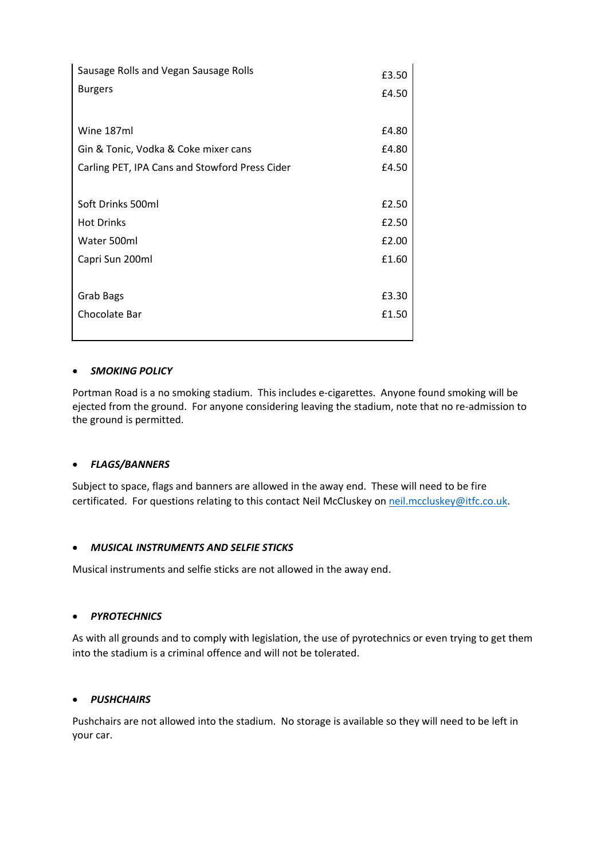| Sausage Rolls and Vegan Sausage Rolls          |       |
|------------------------------------------------|-------|
| <b>Burgers</b>                                 |       |
|                                                |       |
| Wine 187ml                                     | £4.80 |
| Gin & Tonic, Vodka & Coke mixer cans           |       |
| Carling PET, IPA Cans and Stowford Press Cider |       |
|                                                |       |
| Soft Drinks 500ml                              | £2.50 |
| <b>Hot Drinks</b>                              | £2.50 |
| Water 500ml                                    |       |
| Capri Sun 200ml                                |       |
|                                                |       |
| Grab Bags                                      | £3.30 |
| Chocolate Bar                                  |       |
|                                                |       |

### • *SMOKING POLICY*

Portman Road is a no smoking stadium. This includes e-cigarettes. Anyone found smoking will be ejected from the ground. For anyone considering leaving the stadium, note that no re-admission to the ground is permitted.

#### • *FLAGS/BANNERS*

Subject to space, flags and banners are allowed in the away end. These will need to be fire certificated. For questions relating to this contact Neil McCluskey on [neil.mccluskey@itfc.co.uk.](mailto:neil.mccluskey@itfc.co.uk)

#### • *MUSICAL INSTRUMENTS AND SELFIE STICKS*

Musical instruments and selfie sticks are not allowed in the away end.

# • *PYROTECHNICS*

As with all grounds and to comply with legislation, the use of pyrotechnics or even trying to get them into the stadium is a criminal offence and will not be tolerated.

#### • *PUSHCHAIRS*

Pushchairs are not allowed into the stadium. No storage is available so they will need to be left in your car.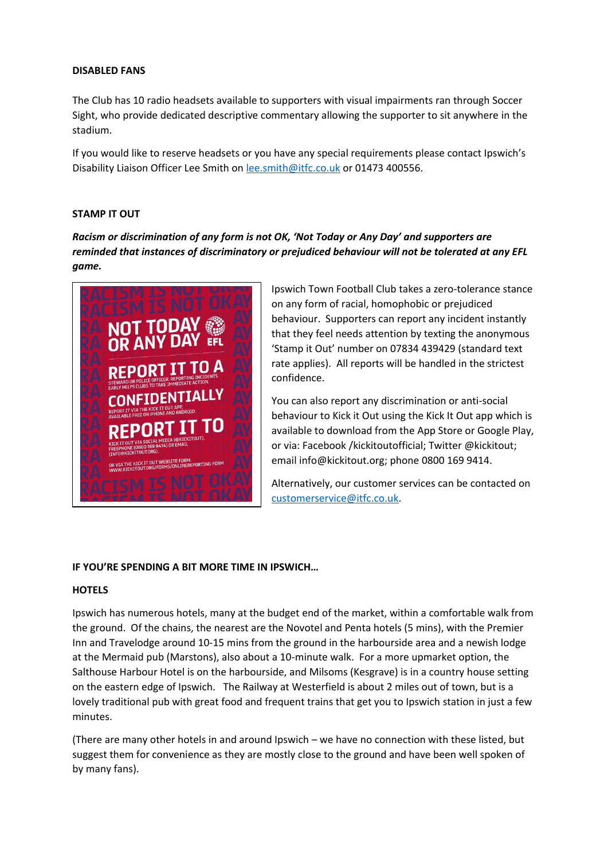#### **DISABLED FANS**

The Club has 10 radio headsets available to supporters with visual impairments ran through Soccer Sight, who provide dedicated descriptive commentary allowing the supporter to sit anywhere in the stadium.

If you would like to reserve headsets or you have any special requirements please contact Ipswich's Disability Liaison Officer Lee Smith on [lee.smith@itfc.co.uk](mailto:lee.smith@itfc.co.uk) or 01473 400556.

#### **STAMP IT OUT**

*Racism or discrimination of any form is not OK, 'Not Today or Any Day' and supporters are reminded that instances of discriminatory or prejudiced behaviour will not be tolerated at any EFL game.*



Ipswich Town Football Club takes a zero-tolerance stance on any form of racial, homophobic or prejudiced behaviour. Supporters can report any incident instantly that they feel needs attention by texting the anonymous 'Stamp it Out' number on 07834 439429 (standard text rate applies). All reports will be handled in the strictest confidence.

You can also report any discrimination or anti-social behaviour to Kick it Out using the Kick It Out app which is available to download from the App Store or Google Play, or via: Facebook /kickitoutofficial; Twitter @kickitout; email info@kickitout.org; phone 0800 169 9414.

Alternatively, our customer services can be contacted on [customerservice@itfc.co.uk.](mailto:customerservice@itfc.co.uk)

#### **IF YOU'RE SPENDING A BIT MORE TIME IN IPSWICH…**

#### **HOTELS**

Ipswich has numerous hotels, many at the budget end of the market, within a comfortable walk from the ground. Of the chains, the nearest are the Novotel and Penta hotels (5 mins), with the Premier Inn and Travelodge around 10-15 mins from the ground in the harbourside area and a newish lodge at the Mermaid pub (Marstons), also about a 10-minute walk. For a more upmarket option, the Salthouse Harbour Hotel is on the harbourside, and Milsoms (Kesgrave) is in a country house setting on the eastern edge of Ipswich. The Railway at Westerfield is about 2 miles out of town, but is a lovely traditional pub with great food and frequent trains that get you to Ipswich station in just a few minutes.

(There are many other hotels in and around Ipswich – we have no connection with these listed, but suggest them for convenience as they are mostly close to the ground and have been well spoken of by many fans).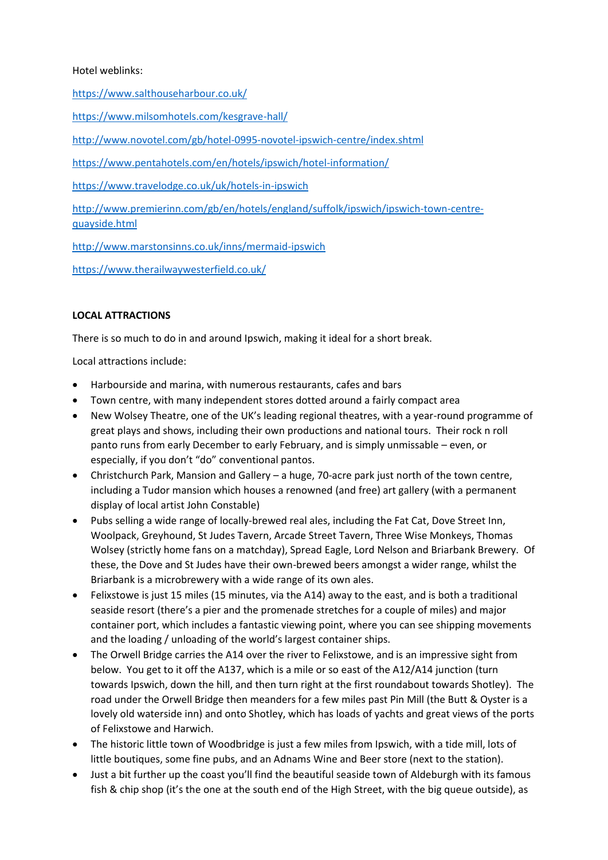# Hotel weblinks:

<https://www.salthouseharbour.co.uk/>

<https://www.milsomhotels.com/kesgrave-hall/>

<http://www.novotel.com/gb/hotel-0995-novotel-ipswich-centre/index.shtml>

<https://www.pentahotels.com/en/hotels/ipswich/hotel-information/>

<https://www.travelodge.co.uk/uk/hotels-in-ipswich>

[http://www.premierinn.com/gb/en/hotels/england/suffolk/ipswich/ipswich-town-centre](http://www.premierinn.com/gb/en/hotels/england/suffolk/ipswich/ipswich-town-centre-quayside.html)[quayside.html](http://www.premierinn.com/gb/en/hotels/england/suffolk/ipswich/ipswich-town-centre-quayside.html)

<http://www.marstonsinns.co.uk/inns/mermaid-ipswich>

<https://www.therailwaywesterfield.co.uk/>

### **LOCAL ATTRACTIONS**

There is so much to do in and around Ipswich, making it ideal for a short break.

Local attractions include:

- Harbourside and marina, with numerous restaurants, cafes and bars
- Town centre, with many independent stores dotted around a fairly compact area
- New Wolsey Theatre, one of the UK's leading regional theatres, with a year-round programme of great plays and shows, including their own productions and national tours. Their rock n roll panto runs from early December to early February, and is simply unmissable – even, or especially, if you don't "do" conventional pantos.
- Christchurch Park, Mansion and Gallery a huge, 70-acre park just north of the town centre, including a Tudor mansion which houses a renowned (and free) art gallery (with a permanent display of local artist John Constable)
- Pubs selling a wide range of locally-brewed real ales, including the Fat Cat, Dove Street Inn, Woolpack, Greyhound, St Judes Tavern, Arcade Street Tavern, Three Wise Monkeys, Thomas Wolsey (strictly home fans on a matchday), Spread Eagle, Lord Nelson and Briarbank Brewery. Of these, the Dove and St Judes have their own-brewed beers amongst a wider range, whilst the Briarbank is a microbrewery with a wide range of its own ales.
- Felixstowe is just 15 miles (15 minutes, via the A14) away to the east, and is both a traditional seaside resort (there's a pier and the promenade stretches for a couple of miles) and major container port, which includes a fantastic viewing point, where you can see shipping movements and the loading / unloading of the world's largest container ships.
- The Orwell Bridge carries the A14 over the river to Felixstowe, and is an impressive sight from below. You get to it off the A137, which is a mile or so east of the A12/A14 junction (turn towards Ipswich, down the hill, and then turn right at the first roundabout towards Shotley). The road under the Orwell Bridge then meanders for a few miles past Pin Mill (the Butt & Oyster is a lovely old waterside inn) and onto Shotley, which has loads of yachts and great views of the ports of Felixstowe and Harwich.
- The historic little town of Woodbridge is just a few miles from Ipswich, with a tide mill, lots of little boutiques, some fine pubs, and an Adnams Wine and Beer store (next to the station).
- Just a bit further up the coast you'll find the beautiful seaside town of Aldeburgh with its famous fish & chip shop (it's the one at the south end of the High Street, with the big queue outside), as